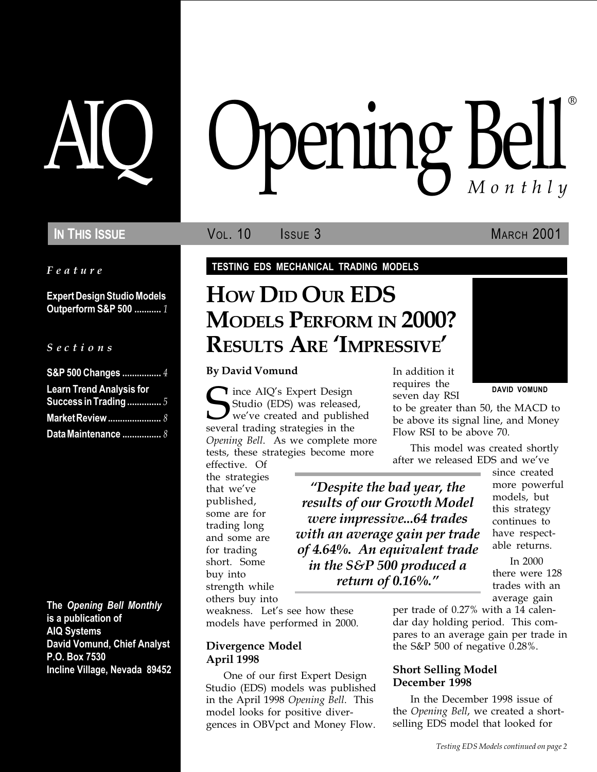Feature

Expert Design Studio Models Outperform S&P 500 ........... 1

#### S e c t i o n s

| S&P 500 Changes  4                                       |  |
|----------------------------------------------------------|--|
| <b>Learn Trend Analysis for</b><br>Success in Trading  5 |  |
| <b>Market Review </b> 8                                  |  |
| Data Maintenance  8                                      |  |

The Opening Bell Monthly is a publication of AIQ Systems David Vomund, Chief Analyst P.O. Box 7530 Incline Village, Nevada 89452

# pening Bell ®

**IN THIS ISSUE VOL. 10** ISSUE 3 MARCH 2001

#### TESTING EDS MECHANICAL TRADING MODELS

# HOW DID OUR EDS MODELS PERFORM IN 2000? RESULTS ARE 'IMPRESSIVE'

By David Vomund

Since AIQ's Expert Design<br>Studio (EDS) was release<br>several trading strategies in the Studio (EDS) was released, we′ve created and published several trading strategies in the Opening Bell. As we complete more tests, these strategies become more

effective. Of the strategies that we've published, some are for trading long and some are for trading short. Some buy into strength while others buy into

Despite the bad year, the results of our Growth Model were impressive...64 trades with an average gain per trade of 4.64%. An equivalent trade in the S&P 500 produced a return of 0.16%.

weakness. Let's see how these models have performed in 2000.

#### Divergence Model April 1998

One of our first Expert Design Studio (EDS) models was published in the April 1998 Opening Bell. This model looks for positive divergences in OBVpct and Money Flow.

In addition it requires the seven day RSI

DAVID VOMUND

to be greater than 50, the MACD to be above its signal line, and Money Flow RSI to be above 70.

This model was created shortly after we released EDS and we've

since created more powerful models, but this strategy continues to have respectable returns.

In 2000 there were 128 trades with an average gain

per trade of 0.27% with a 14 calendar day holding period. This compares to an average gain per trade in the S&P 500 of negative 0.28%.

#### Short Selling Model December 1998

In the December 1998 issue of the Opening Bell, we created a shortselling EDS model that looked for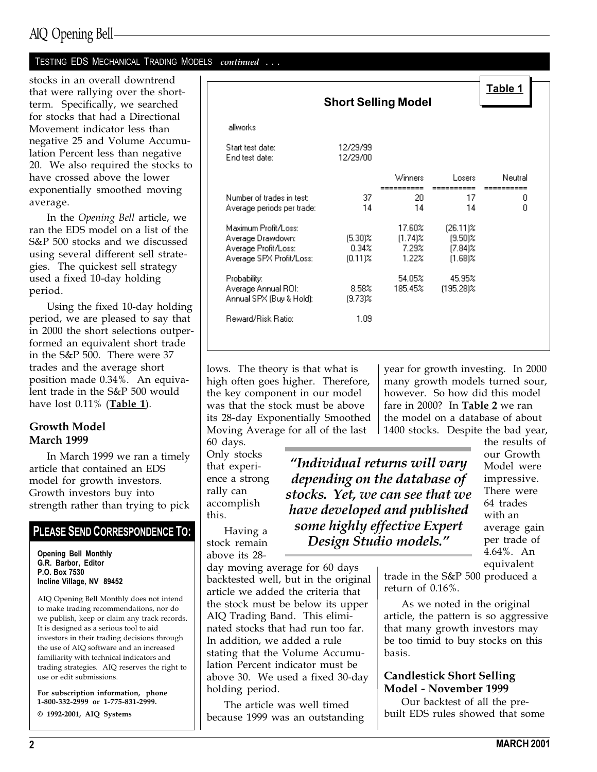## AIQ Opening Bell

#### TESTING EDS MECHANICAL TRADING MODELS continued . . .

stocks in an overall downtrend that were rallying over the shortterm. Specifically, we searched for stocks that had a Directional Movement indicator less than negative 25 and Volume Accumulation Percent less than negative 20. We also required the stocks to have crossed above the lower exponentially smoothed moving average.

In the Opening Bell article, we ran the EDS model on a list of the S&P 500 stocks and we discussed using several different sell strategies. The quickest sell strategy used a fixed 10-day holding period.

Using the fixed 10-day holding period, we are pleased to say that in 2000 the short selections outperformed an equivalent short trade in the S&P 500. There were 37 trades and the average short position made 0.34%. An equivalent trade in the S&P 500 would have lost 0.11% (Table 1).

#### Growth Model March 1999

In March 1999 we ran a timely article that contained an EDS model for growth investors. Growth investors buy into strength rather than trying to pick

### PLEASE SEND CORRESPONDENCE TO:

Opening Bell Monthly G.R. Barbor, Editor P.O. Box 7530 Incline Village, NV 89452

AIQ Opening Bell Monthly does not intend to make trading recommendations, nor do we publish, keep or claim any track records. It is designed as a serious tool to aid investors in their trading decisions through the use of AIQ software and an increased familiarity with technical indicators and trading strategies. AIQ reserves the right to use or edit submissions.

For subscription information, phone 1-800-332-2999 or 1-775-831-2999.

© 1992-2001, AIQ Systems

|                                                                                               | <b>Short Selling Model</b>        |                                        |                                                       | Table 1 |
|-----------------------------------------------------------------------------------------------|-----------------------------------|----------------------------------------|-------------------------------------------------------|---------|
| allworks                                                                                      |                                   |                                        |                                                       |         |
| Start test date:<br>End test date:                                                            | 12/29/99<br>12/29/00              |                                        |                                                       |         |
|                                                                                               |                                   | Winners                                | Losers                                                | Neutral |
| Number of trades in test:<br>Average periods per trade:                                       | 37<br>14                          | ======<br>20.<br>14                    | ========<br>17<br>14                                  | 0<br>n  |
| Maximum Profit/Loss:<br>Average Drawdown:<br>Average Profit/Loss:<br>Average SPX Profit/Loss: | $(5.30)$ %<br>0.34%<br>$(0.11)$ % | 17.60%<br>$(1.74)$ %<br>7.29%<br>1.22% | $(26.11)\%$<br>$(9.50)$ %<br>$(7.84)$ %<br>$(1.68)$ % |         |
| Probability:<br>Average Annual ROI:<br>Annual SPX (Buy & Hold):                               | 8.58%<br>$(9.73)$ %               | 54.05%<br>185.45%                      | 45.95%<br>$(195.28)\%$                                |         |
| Reward/Risk Ratio:                                                                            | 1.09                              |                                        |                                                       |         |

lows. The theory is that what is high often goes higher. Therefore, the key component in our model was that the stock must be above its 28-day Exponentially Smoothed Moving Average for all of the last

60 days. Only stocks that experience a strong rally can accomplish this.

Having a stock remain above its 28-

Individual returns will vary depending on the database of stocks. Yet, we can see that we have developed and published some highly effective Expert Design Studio models.

year for growth investing. In 2000 many growth models turned sour, however. So how did this model fare in 2000? In Table 2 we ran the model on a database of about 1400 stocks. Despite the bad year,

> the results of our Growth Model were impressive. There were 64 trades with an average gain per trade of 4.64%. An equivalent

day moving average for 60 days backtested well, but in the original article we added the criteria that the stock must be below its upper AIQ Trading Band. This eliminated stocks that had run too far. In addition, we added a rule stating that the Volume Accumulation Percent indicator must be above 30. We used a fixed 30-day holding period.

The article was well timed because 1999 was an outstanding trade in the S&P 500 produced a return of 0.16%.

As we noted in the original article, the pattern is so aggressive that many growth investors may be too timid to buy stocks on this basis.

#### Candlestick Short Selling Model - November 1999

Our backtest of all the prebuilt EDS rules showed that some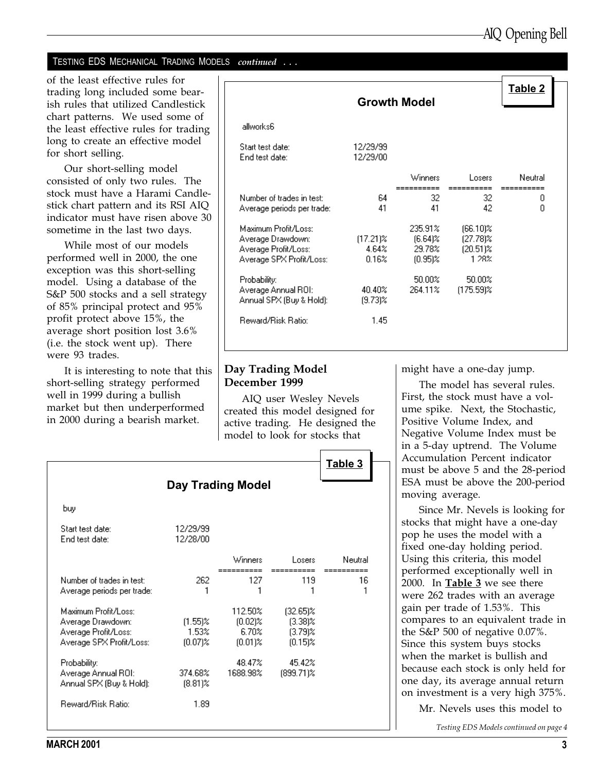#### TESTING EDS MECHANICAL TRADING MODELS continued . . .

of the least effective rules for trading long included some bearish rules that utilized Candlestick chart patterns. We used some of the least effective rules for trading long to create an effective model for short selling.

Our short-selling model consisted of only two rules. The stock must have a Harami Candlestick chart pattern and its RSI AIQ indicator must have risen above 30 sometime in the last two days.

While most of our models performed well in 2000, the one exception was this short-selling model. Using a database of the S&P 500 stocks and a sell strategy of 85% principal protect and 95% profit protect above 15%, the average short position lost 3.6% (i.e. the stock went up). There were 93 trades.

It is interesting to note that this short-selling strategy performed well in 1999 during a bullish market but then underperformed in 2000 during a bearish market.

|                                                                                               | <b>Growth Model</b>           |                                               |                                                 | Table 2              |
|-----------------------------------------------------------------------------------------------|-------------------------------|-----------------------------------------------|-------------------------------------------------|----------------------|
| allworks6                                                                                     |                               |                                               |                                                 |                      |
| Start test date:<br>End test date:                                                            | 12/29/99<br>12/29/00          |                                               |                                                 |                      |
|                                                                                               |                               | Winners                                       | Losers                                          | Neutral              |
| Number of trades in test:<br>Average periods per trade:                                       | 64<br>41                      | ======<br>32<br>41                            | 32<br>42                                        | ----------<br>0<br>Ω |
| Maximum Profit/Loss:<br>Average Drawdown:<br>Average Profit/Loss:<br>Average SPX Profit/Loss: | $(17.21)\%$<br>4.64%<br>0.16% | 235.91%<br>$(6.64)$ %<br>29.78%<br>$(0.95)$ % | $(66.10)\%$<br>(27.78)%<br>$(20.51)\%$<br>1 28% |                      |
| Probability:<br>Average Annual ROI:<br>Annual SPX (Buy & Hold):                               | 40.40%<br>$(9.73)$ %          | 50.00%<br>264.11%                             | 50.00%<br>$(175.59)$ %                          |                      |
| <b>Reward/Risk Ratio:</b>                                                                     | 1.45                          |                                               |                                                 |                      |

#### Day Trading Model December 1999

AIQ user Wesley Nevels created this model designed for active trading. He designed the model to look for stocks that

|                                                                                               |                                   | <b>Day Trading Model</b>                     |                                                       | Table 3 |
|-----------------------------------------------------------------------------------------------|-----------------------------------|----------------------------------------------|-------------------------------------------------------|---------|
| buy                                                                                           |                                   |                                              |                                                       |         |
| Start test date:<br>End test date:                                                            | 12/29/99<br>12/28/00              |                                              |                                                       |         |
|                                                                                               |                                   | Winners                                      | Losers                                                | Neutral |
| Number of trades in test:<br>Average periods per trade:                                       | 262                               | 127                                          | 119                                                   | 16      |
| Maximum Profit/Loss:<br>Average Drawdown:<br>Average Profit/Loss:<br>Average SPX Profit/Loss: | $(1.55)\%$<br>1.53%<br>$(0.07)\%$ | 112.50%<br>$(0.02)\%$<br>6.70%<br>$(0.01)$ % | $(32.65)\%$<br>$(3.38)$ %<br>$(3.79)$ %<br>$(0.15)$ % |         |
| Probability:<br>Average Annual ROI:<br>Annual SPX (Buy & Hold):                               | 374.68%<br>$(8.81)\%$             | 48.47%<br>1688.98%                           | 45.42%<br>$(899.71)\%$                                |         |
| Reward/Risk Ratio:                                                                            | 1.89                              |                                              |                                                       |         |

might have a one-day jump.

The model has several rules. First, the stock must have a volume spike. Next, the Stochastic, Positive Volume Index, and Negative Volume Index must be in a 5-day uptrend. The Volume Accumulation Percent indicator must be above 5 and the 28-period ESA must be above the 200-period moving average.

Since Mr. Nevels is looking for stocks that might have a one-day pop he uses the model with a fixed one-day holding period. Using this criteria, this model performed exceptionally well in 2000. In Table  $3$  we see there were 262 trades with an average gain per trade of 1.53%. This compares to an equivalent trade in the S&P 500 of negative 0.07%. Since this system buys stocks when the market is bullish and because each stock is only held for one day, its average annual return on investment is a very high 375%.

Mr. Nevels uses this model to

Testing EDS Models continued on page 4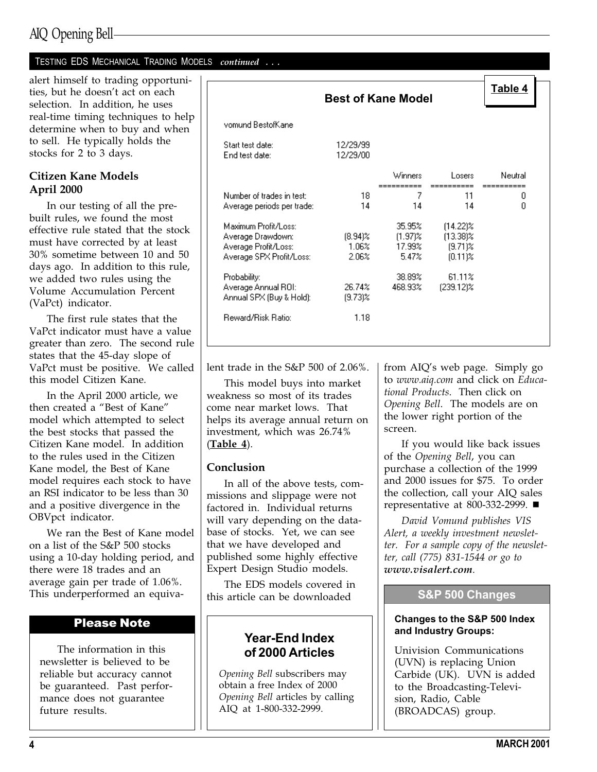## AIQ Opening Bell

#### TESTING EDS MECHANICAL TRADING MODELS continued . . .

alert himself to trading opportunities, but he doesn't act on each selection. In addition, he uses real-time timing techniques to help determine when to buy and when to sell. He typically holds the stocks for 2 to 3 days.

#### Citizen Kane Models April 2000

In our testing of all the prebuilt rules, we found the most effective rule stated that the stock must have corrected by at least 30% sometime between 10 and 50 days ago. In addition to this rule, we added two rules using the Volume Accumulation Percent (VaPct) indicator.

The first rule states that the VaPct indicator must have a value greater than zero. The second rule states that the 45-day slope of VaPct must be positive. We called this model Citizen Kane.

In the April 2000 article, we then created a "Best of Kane" model which attempted to select the best stocks that passed the Citizen Kane model. In addition to the rules used in the Citizen Kane model, the Best of Kane model requires each stock to have an RSI indicator to be less than 30 and a positive divergence in the OBVpct indicator.

We ran the Best of Kane model on a list of the S&P 500 stocks using a 10-day holding period, and there were 18 trades and an average gain per trade of 1.06%. This underperformed an equiva-

#### Please Note

The information in this newsletter is believed to be reliable but accuracy cannot be guaranteed. Past performance does not guarantee future results.

|                                                                                               |                              | <b>Best of Kane Model</b>               |                                                        | Table 4 |
|-----------------------------------------------------------------------------------------------|------------------------------|-----------------------------------------|--------------------------------------------------------|---------|
|                                                                                               |                              |                                         |                                                        |         |
| vomund BestofKane                                                                             |                              |                                         |                                                        |         |
| Start test date:<br>End test date:                                                            | 12/29/99<br>12/29/00         |                                         |                                                        |         |
|                                                                                               |                              | Winners                                 | Losers.                                                | Neutral |
| Number of trades in test:<br>Average periods per trade:                                       | 18<br>14                     | 7<br>14                                 | 11<br>14                                               | 0<br>Ω  |
| Maximum Profit/Loss:<br>Average Drawdown:<br>Average Profit/Loss:<br>Average SPX Profit/Loss: | $(8.94)\%$<br>1.06%<br>2.06% | 35.95%<br>$(1.97)$ %<br>17.99%<br>5.47% | $(14.22)\%$<br>$(13.38)\%$<br>$(9.71)$ %<br>$(0.11)$ % |         |
| Probability:<br>Average Annual ROI:<br>Annual SPX (Buy & Hold):                               | 26.74%<br>$(9.73)$ %         | 38.89%<br>468.93%                       | 61.11%<br>(239.12)%                                    |         |
| Reward/Risk Ratio:                                                                            | 1.18                         |                                         |                                                        |         |

lent trade in the S&P 500 of 2.06%.

This model buys into market weakness so most of its trades come near market lows. That helps its average annual return on investment, which was 26.74%  $(Table 4).$ 

#### Conclusion

In all of the above tests, commissions and slippage were not factored in. Individual returns will vary depending on the database of stocks. Yet, we can see that we have developed and published some highly effective Expert Design Studio models.

The EDS models covered in this article can be downloaded

#### Year-End Index of 2000 Articles

Opening Bell subscribers may obtain a free Index of 2000 Opening Bell articles by calling AIQ at 1-800-332-2999.

from AIQ's web page. Simply go to www.aiq.com and click on Educational Products. Then click on Opening Bell. The models are on the lower right portion of the screen.

If you would like back issues of the Opening Bell, you can purchase a collection of the 1999 and 2000 issues for \$75. To order the collection, call your AIQ sales representative at 800-332-2999.  $\blacksquare$ 

David Vomund publishes VIS Alert, a weekly investment newsletter. For a sample copy of the newsletter, call (775) 831-1544 or go to www.visalert.com.

#### S&P 500 Changes

#### Changes to the S&P 500 Index and Industry Groups:

Univision Communications (UVN) is replacing Union Carbide (UK). UVN is added to the Broadcasting-Television, Radio, Cable (BROADCAS) group.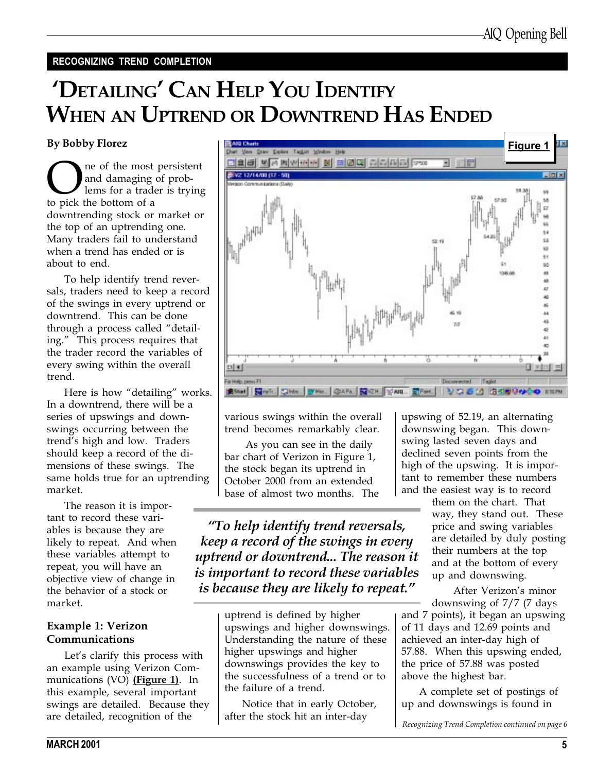#### RECOGNIZING TREND COMPLETION

# 'DETAILING' CAN HELP YOU IDENTIFY WHEN AN UPTREND OR DOWNTREND HAS ENDED

#### By Bobby Florez

One of the most persistent<br>and damaging of prob-<br>to pick the bottom of a and damaging of problems for a trader is trying to pick the bottom of a downtrending stock or market or the top of an uptrending one. Many traders fail to understand when a trend has ended or is about to end.

To help identify trend reversals, traders need to keep a record of the swings in every uptrend or downtrend. This can be done through a process called "detailing." This process requires that the trader record the variables of every swing within the overall trend.

Here is how "detailing" works. In a downtrend, there will be a series of upswings and downswings occurring between the trend's high and low. Traders should keep a record of the dimensions of these swings. The same holds true for an uptrending market.

The reason it is important to record these variables is because they are likely to repeat. And when these variables attempt to repeat, you will have an objective view of change in the behavior of a stock or market.

#### Example 1: Verizon Communications

Let's clarify this process with an example using Verizon Communications (VO) (Figure 1). In this example, several important swings are detailed. Because they are detailed, recognition of the



various swings within the overall trend becomes remarkably clear.

 As you can see in the daily bar chart of Verizon in Figure 1, the stock began its uptrend in October 2000 from an extended base of almost two months. The

To help identify trend reversals, keep a record of the swings in every uptrend or downtrend... The reason it is important to record these variables is because they are likely to repeat.

> uptrend is defined by higher upswings and higher downswings. Understanding the nature of these higher upswings and higher downswings provides the key to the successfulness of a trend or to the failure of a trend.

Notice that in early October, after the stock hit an inter-day

upswing of 52.19, an alternating downswing began. This downswing lasted seven days and declined seven points from the high of the upswing. It is important to remember these numbers and the easiest way is to record

> them on the chart. That way, they stand out. These price and swing variables are detailed by duly posting their numbers at the top and at the bottom of every up and downswing.

After Verizon's minor downswing of 7/7 (7 days

and 7 points), it began an upswing of 11 days and 12.69 points and achieved an inter-day high of 57.88. When this upswing ended, the price of 57.88 was posted above the highest bar.

A complete set of postings of up and downswings is found in

Recognizing Trend Completion continued on page 6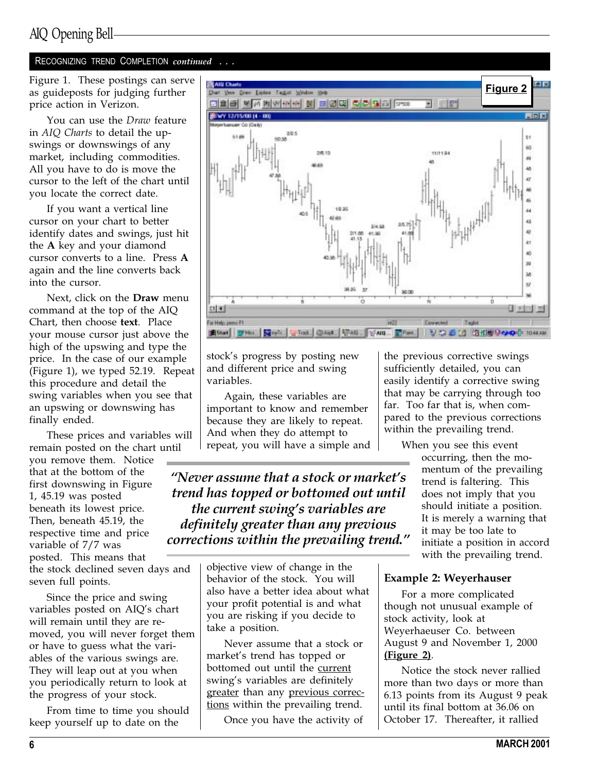#### RECOGNIZING TREND COMPLETION continued . . .

Figure 1. These postings can serve as guideposts for judging further price action in Verizon.

You can use the Draw feature in AIQ Charts to detail the upswings or downswings of any market, including commodities. All you have to do is move the cursor to the left of the chart until you locate the correct date.

If you want a vertical line cursor on your chart to better identify dates and swings, just hit the A key and your diamond cursor converts to a line. Press A again and the line converts back into the cursor.

Next, click on the Draw menu command at the top of the AIQ Chart, then choose text. Place your mouse cursor just above the high of the upswing and type the price. In the case of our example (Figure 1), we typed 52.19. Repeat this procedure and detail the swing variables when you see that an upswing or downswing has finally ended.

These prices and variables will remain posted on the chart until

you remove them. Notice that at the bottom of the first downswing in Figure 1, 45.19 was posted beneath its lowest price. Then, beneath 45.19, the respective time and price variable of 7/7 was posted. This means that

the stock declined seven days and seven full points.

Since the price and swing variables posted on AIQ's chart will remain until they are removed, you will never forget them or have to guess what the variables of the various swings are. They will leap out at you when you periodically return to look at the progress of your stock.

From time to time you should keep yourself up to date on the



stock's progress by posting new and different price and swing variables.

Again, these variables are important to know and remember because they are likely to repeat. And when they do attempt to repeat, you will have a simple and

"Never assume that a stock or market's trend has topped or bottomed out until the current swing's variables are definitely greater than any previous corrections within the prevailing trend.

> objective view of change in the behavior of the stock. You will also have a better idea about what your profit potential is and what you are risking if you decide to take a position.

Never assume that a stock or market's trend has topped or bottomed out until the current swing's variables are definitely greater than any previous corrections within the prevailing trend.

Once you have the activity of

the previous corrective swings sufficiently detailed, you can easily identify a corrective swing that may be carrying through too far. Too far that is, when compared to the previous corrections within the prevailing trend.

When you see this event

occurring, then the momentum of the prevailing trend is faltering. This does not imply that you should initiate a position. It is merely a warning that it may be too late to initiate a position in accord with the prevailing trend.

#### Example 2: Weyerhauser

For a more complicated though not unusual example of stock activity, look at Weyerhaeuser Co. between August 9 and November 1, 2000 (Figure 2).

Notice the stock never rallied more than two days or more than 6.13 points from its August 9 peak until its final bottom at 36.06 on October 17. Thereafter, it rallied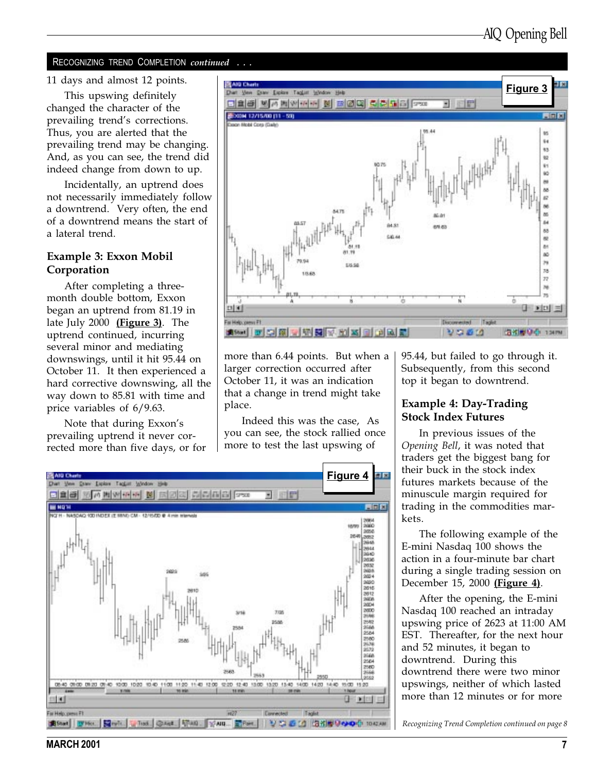#### RECOGNIZING TREND COMPLETION continued

This upswing definitely changed the character of the prevailing trend's corrections. Thus, you are alerted that the prevailing trend may be changing. And, as you can see, the trend did indeed change from down to up.

Incidentally, an uptrend does not necessarily immediately follow a downtrend. Very often, the end of a downtrend means the start of a lateral trend.

#### Example 3: Exxon Mobil Corporation

After completing a threemonth double bottom, Exxon began an uptrend from 81.19 in late July 2000 (Figure 3). The uptrend continued, incurring several minor and mediating downswings, until it hit 95.44 on October 11. It then experienced a hard corrective downswing, all the way down to 85.81 with time and price variables of 6/9.63.

Note that during Exxon's prevailing uptrend it never corrected more than five days, or for



more than 6.44 points. But when a larger correction occurred after October 11, it was an indication that a change in trend might take place.

Indeed this was the case, As you can see, the stock rallied once more to test the last upswing of



95.44, but failed to go through it. Subsequently, from this second top it began to downtrend.

#### Example 4: Day-Trading Stock Index Futures

In previous issues of the Opening Bell, it was noted that traders get the biggest bang for their buck in the stock index futures markets because of the minuscule margin required for trading in the commodities markets.

The following example of the E-mini Nasdaq 100 shows the action in a four-minute bar chart during a single trading session on December 15, 2000 (Figure 4).

After the opening, the E-mini Nasdaq 100 reached an intraday upswing price of 2623 at 11:00 AM EST. Thereafter, for the next hour and 52 minutes, it began to downtrend. During this downtrend there were two minor upswings, neither of which lasted more than 12 minutes or for more

Recognizing Trend Completion continued on page 8